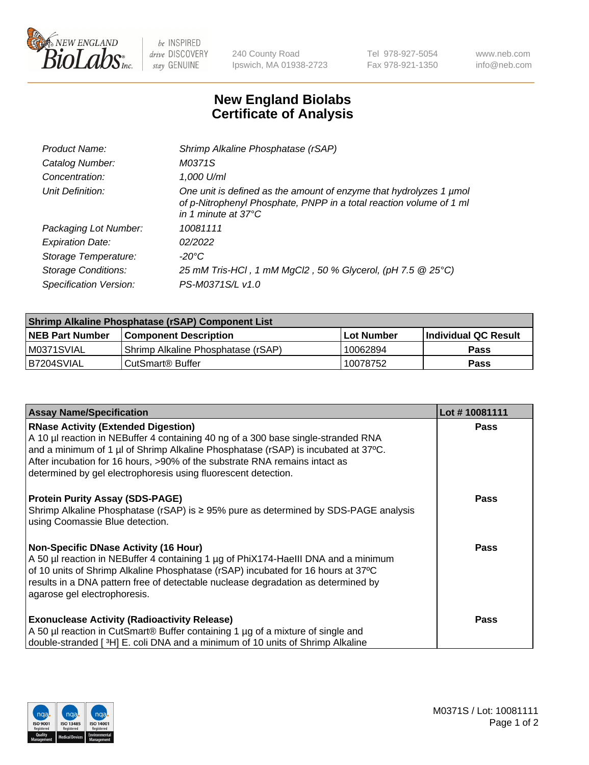

 $be$  INSPIRED drive DISCOVERY stay GENUINE

240 County Road Ipswich, MA 01938-2723 Tel 978-927-5054 Fax 978-921-1350 www.neb.com info@neb.com

## **New England Biolabs Certificate of Analysis**

| Product Name:              | Shrimp Alkaline Phosphatase (rSAP)                                                                                                                                         |
|----------------------------|----------------------------------------------------------------------------------------------------------------------------------------------------------------------------|
| Catalog Number:            | M0371S                                                                                                                                                                     |
| Concentration:             | 1,000 U/ml                                                                                                                                                                 |
| Unit Definition:           | One unit is defined as the amount of enzyme that hydrolyzes 1 µmol<br>of p-Nitrophenyl Phosphate, PNPP in a total reaction volume of 1 ml<br>in 1 minute at $37^{\circ}$ C |
| Packaging Lot Number:      | 10081111                                                                                                                                                                   |
| <b>Expiration Date:</b>    | 02/2022                                                                                                                                                                    |
| Storage Temperature:       | $-20^{\circ}$ C                                                                                                                                                            |
| <b>Storage Conditions:</b> | 25 mM Tris-HCl, 1 mM MgCl2, 50 % Glycerol, (pH 7.5 @ 25°C)                                                                                                                 |
| Specification Version:     | PS-M0371S/L v1.0                                                                                                                                                           |

| Shrimp Alkaline Phosphatase (rSAP) Component List |                                    |                   |                      |  |
|---------------------------------------------------|------------------------------------|-------------------|----------------------|--|
| <b>NEB Part Number</b>                            | <b>Component Description</b>       | <b>Lot Number</b> | Individual QC Result |  |
| IM0371SVIAL                                       | Shrimp Alkaline Phosphatase (rSAP) | ' 10062894        | Pass                 |  |
| B7204SVIAL                                        | l CutSmart® Buffer                 | 10078752          | Pass                 |  |

| <b>Assay Name/Specification</b>                                                                                                                                                                                                                                                                                                                                      | Lot #10081111 |
|----------------------------------------------------------------------------------------------------------------------------------------------------------------------------------------------------------------------------------------------------------------------------------------------------------------------------------------------------------------------|---------------|
| <b>RNase Activity (Extended Digestion)</b><br>A 10 µl reaction in NEBuffer 4 containing 40 ng of a 300 base single-stranded RNA<br>and a minimum of 1 µl of Shrimp Alkaline Phosphatase (rSAP) is incubated at 37°C.<br>After incubation for 16 hours, >90% of the substrate RNA remains intact as<br>determined by gel electrophoresis using fluorescent detection. | <b>Pass</b>   |
| <b>Protein Purity Assay (SDS-PAGE)</b><br>Shrimp Alkaline Phosphatase (rSAP) is $\geq$ 95% pure as determined by SDS-PAGE analysis<br>using Coomassie Blue detection.                                                                                                                                                                                                | <b>Pass</b>   |
| <b>Non-Specific DNase Activity (16 Hour)</b><br>A 50 µl reaction in NEBuffer 4 containing 1 µg of PhiX174-HaellI DNA and a minimum<br>of 10 units of Shrimp Alkaline Phosphatase (rSAP) incubated for 16 hours at 37°C<br>results in a DNA pattern free of detectable nuclease degradation as determined by<br>agarose gel electrophoresis.                          | <b>Pass</b>   |
| <b>Exonuclease Activity (Radioactivity Release)</b><br>A 50 µl reaction in CutSmart® Buffer containing 1 µg of a mixture of single and<br>double-stranded [3H] E. coli DNA and a minimum of 10 units of Shrimp Alkaline                                                                                                                                              | <b>Pass</b>   |